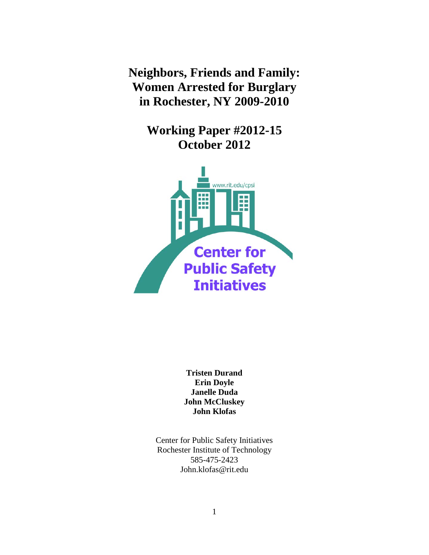**Neighbors, Friends and Family: Women Arrested for Burglary in Rochester, NY 2009-2010**

> **Working Paper #2012-15 October 2012**



**Tristen Durand Erin Doyle Janelle Duda John McCluskey John Klofas**

Center for Public Safety Initiatives Rochester Institute of Technology 585-475-2423 John.klofas@rit.edu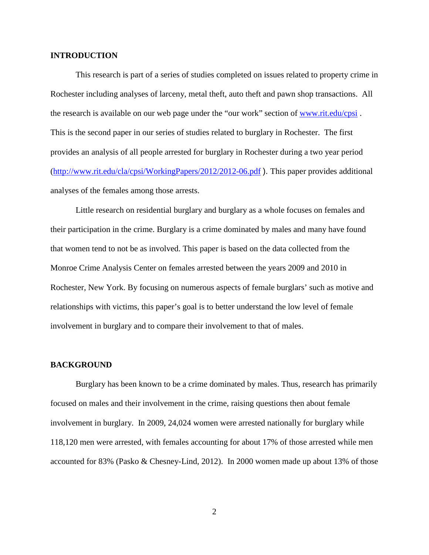# **INTRODUCTION**

This research is part of a series of studies completed on issues related to property crime in Rochester including analyses of larceny, metal theft, auto theft and pawn shop transactions. All the research is available on our web page under the "our work" section of [www.rit.edu/cpsi](http://www.rit.edu/cpsi) . This is the second paper in our series of studies related to burglary in Rochester. The first provides an analysis of all people arrested for burglary in Rochester during a two year period [\(http://www.rit.edu/cla/cpsi/WorkingPapers/2012/2012-06.pdf](http://www.rit.edu/cla/cpsi/WorkingPapers/2012/2012-06.pdf) ). This paper provides additional analyses of the females among those arrests.

Little research on residential burglary and burglary as a whole focuses on females and their participation in the crime. Burglary is a crime dominated by males and many have found that women tend to not be as involved. This paper is based on the data collected from the Monroe Crime Analysis Center on females arrested between the years 2009 and 2010 in Rochester, New York. By focusing on numerous aspects of female burglars' such as motive and relationships with victims, this paper's goal is to better understand the low level of female involvement in burglary and to compare their involvement to that of males.

## **BACKGROUND**

Burglary has been known to be a crime dominated by males. Thus, research has primarily focused on males and their involvement in the crime, raising questions then about female involvement in burglary. In 2009, 24,024 women were arrested nationally for burglary while 118,120 men were arrested, with females accounting for about 17% of those arrested while men accounted for 83% (Pasko & Chesney-Lind, 2012). In 2000 women made up about 13% of those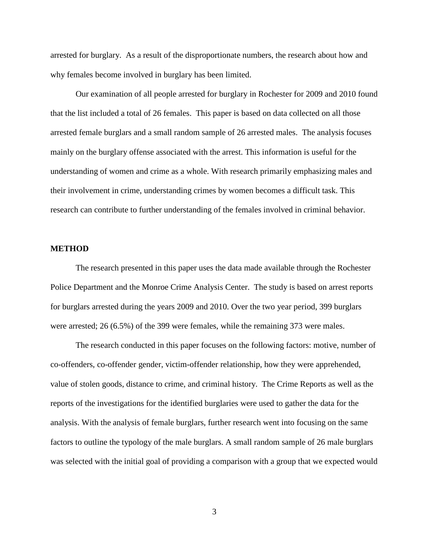arrested for burglary. As a result of the disproportionate numbers, the research about how and why females become involved in burglary has been limited.

Our examination of all people arrested for burglary in Rochester for 2009 and 2010 found that the list included a total of 26 females. This paper is based on data collected on all those arrested female burglars and a small random sample of 26 arrested males. The analysis focuses mainly on the burglary offense associated with the arrest. This information is useful for the understanding of women and crime as a whole. With research primarily emphasizing males and their involvement in crime, understanding crimes by women becomes a difficult task. This research can contribute to further understanding of the females involved in criminal behavior.

#### **METHOD**

The research presented in this paper uses the data made available through the Rochester Police Department and the Monroe Crime Analysis Center. The study is based on arrest reports for burglars arrested during the years 2009 and 2010. Over the two year period, 399 burglars were arrested; 26 (6.5%) of the 399 were females, while the remaining 373 were males.

The research conducted in this paper focuses on the following factors: motive, number of co-offenders, co-offender gender, victim-offender relationship, how they were apprehended, value of stolen goods, distance to crime, and criminal history. The Crime Reports as well as the reports of the investigations for the identified burglaries were used to gather the data for the analysis. With the analysis of female burglars, further research went into focusing on the same factors to outline the typology of the male burglars. A small random sample of 26 male burglars was selected with the initial goal of providing a comparison with a group that we expected would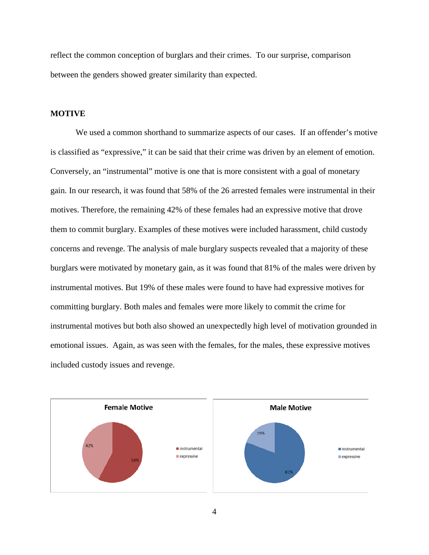reflect the common conception of burglars and their crimes. To our surprise, comparison between the genders showed greater similarity than expected.

# **MOTIVE**

We used a common shorthand to summarize aspects of our cases. If an offender's motive is classified as "expressive," it can be said that their crime was driven by an element of emotion. Conversely, an "instrumental" motive is one that is more consistent with a goal of monetary gain. In our research, it was found that 58% of the 26 arrested females were instrumental in their motives. Therefore, the remaining 42% of these females had an expressive motive that drove them to commit burglary. Examples of these motives were included harassment, child custody concerns and revenge. The analysis of male burglary suspects revealed that a majority of these burglars were motivated by monetary gain, as it was found that 81% of the males were driven by instrumental motives. But 19% of these males were found to have had expressive motives for committing burglary. Both males and females were more likely to commit the crime for instrumental motives but both also showed an unexpectedly high level of motivation grounded in emotional issues. Again, as was seen with the females, for the males, these expressive motives included custody issues and revenge.

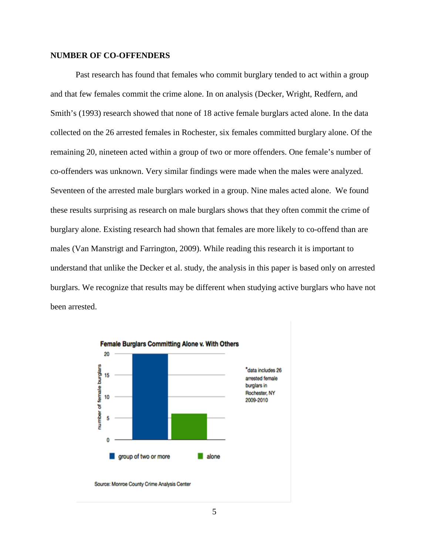## **NUMBER OF CO-OFFENDERS**

Past research has found that females who commit burglary tended to act within a group and that few females commit the crime alone. In on analysis (Decker, Wright, Redfern, and Smith's (1993) research showed that none of 18 active female burglars acted alone. In the data collected on the 26 arrested females in Rochester, six females committed burglary alone. Of the remaining 20, nineteen acted within a group of two or more offenders. One female's number of co-offenders was unknown. Very similar findings were made when the males were analyzed. Seventeen of the arrested male burglars worked in a group. Nine males acted alone. We found these results surprising as research on male burglars shows that they often commit the crime of burglary alone. Existing research had shown that females are more likely to co-offend than are males (Van Manstrigt and Farrington, 2009). While reading this research it is important to understand that unlike the Decker et al. study, the analysis in this paper is based only on arrested burglars. We recognize that results may be different when studying active burglars who have not been arrested.

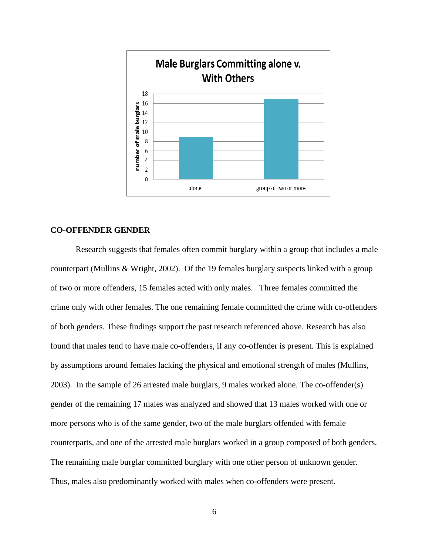

# **CO-OFFENDER GENDER**

Research suggests that females often commit burglary within a group that includes a male counterpart (Mullins & Wright, 2002). Of the 19 females burglary suspects linked with a group of two or more offenders, 15 females acted with only males. Three females committed the crime only with other females. The one remaining female committed the crime with co-offenders of both genders. These findings support the past research referenced above. Research has also found that males tend to have male co-offenders, if any co-offender is present. This is explained by assumptions around females lacking the physical and emotional strength of males (Mullins, 2003). In the sample of 26 arrested male burglars, 9 males worked alone. The co-offender(s) gender of the remaining 17 males was analyzed and showed that 13 males worked with one or more persons who is of the same gender, two of the male burglars offended with female counterparts, and one of the arrested male burglars worked in a group composed of both genders. The remaining male burglar committed burglary with one other person of unknown gender. Thus, males also predominantly worked with males when co-offenders were present.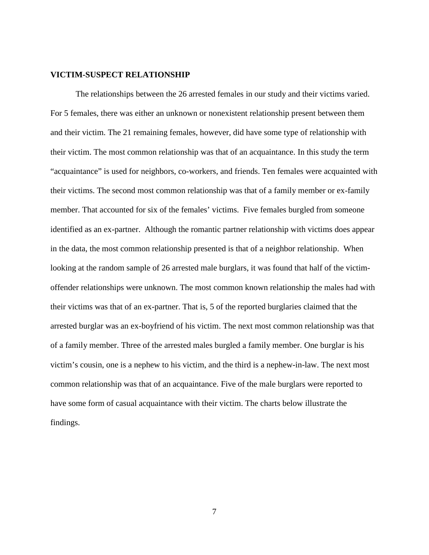## **VICTIM-SUSPECT RELATIONSHIP**

The relationships between the 26 arrested females in our study and their victims varied. For 5 females, there was either an unknown or nonexistent relationship present between them and their victim. The 21 remaining females, however, did have some type of relationship with their victim. The most common relationship was that of an acquaintance. In this study the term "acquaintance" is used for neighbors, co-workers, and friends. Ten females were acquainted with their victims. The second most common relationship was that of a family member or ex-family member. That accounted for six of the females' victims. Five females burgled from someone identified as an ex-partner. Although the romantic partner relationship with victims does appear in the data, the most common relationship presented is that of a neighbor relationship. When looking at the random sample of 26 arrested male burglars, it was found that half of the victimoffender relationships were unknown. The most common known relationship the males had with their victims was that of an ex-partner. That is, 5 of the reported burglaries claimed that the arrested burglar was an ex-boyfriend of his victim. The next most common relationship was that of a family member. Three of the arrested males burgled a family member. One burglar is his victim's cousin, one is a nephew to his victim, and the third is a nephew-in-law. The next most common relationship was that of an acquaintance. Five of the male burglars were reported to have some form of casual acquaintance with their victim. The charts below illustrate the findings.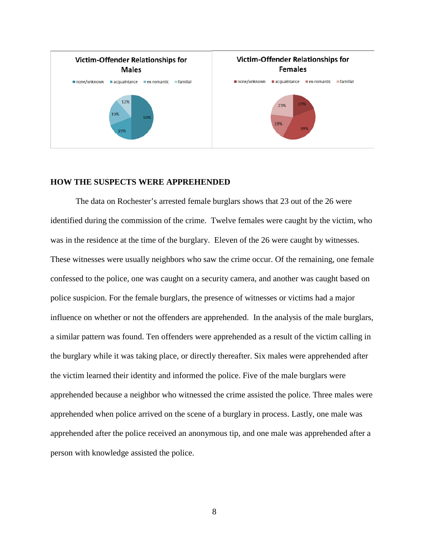

# **HOW THE SUSPECTS WERE APPREHENDED**

The data on Rochester's arrested female burglars shows that 23 out of the 26 were identified during the commission of the crime. Twelve females were caught by the victim, who was in the residence at the time of the burglary. Eleven of the 26 were caught by witnesses. These witnesses were usually neighbors who saw the crime occur. Of the remaining, one female confessed to the police, one was caught on a security camera, and another was caught based on police suspicion. For the female burglars, the presence of witnesses or victims had a major influence on whether or not the offenders are apprehended. In the analysis of the male burglars, a similar pattern was found. Ten offenders were apprehended as a result of the victim calling in the burglary while it was taking place, or directly thereafter. Six males were apprehended after the victim learned their identity and informed the police. Five of the male burglars were apprehended because a neighbor who witnessed the crime assisted the police. Three males were apprehended when police arrived on the scene of a burglary in process. Lastly, one male was apprehended after the police received an anonymous tip, and one male was apprehended after a person with knowledge assisted the police.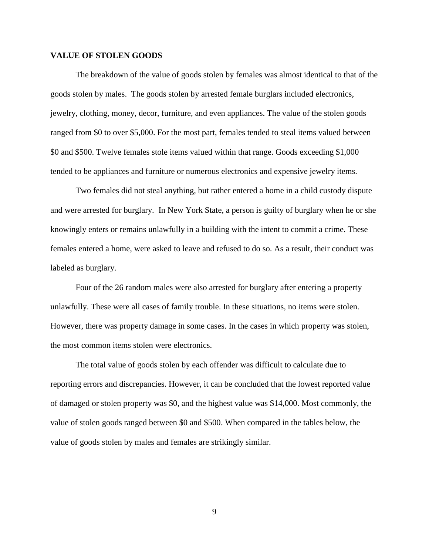# **VALUE OF STOLEN GOODS**

The breakdown of the value of goods stolen by females was almost identical to that of the goods stolen by males. The goods stolen by arrested female burglars included electronics, jewelry, clothing, money, decor, furniture, and even appliances. The value of the stolen goods ranged from \$0 to over \$5,000. For the most part, females tended to steal items valued between \$0 and \$500. Twelve females stole items valued within that range. Goods exceeding \$1,000 tended to be appliances and furniture or numerous electronics and expensive jewelry items.

Two females did not steal anything, but rather entered a home in a child custody dispute and were arrested for burglary. In New York State, a person is guilty of burglary when he or she knowingly enters or remains unlawfully in a building with the intent to commit a crime. These females entered a home, were asked to leave and refused to do so. As a result, their conduct was labeled as burglary.

Four of the 26 random males were also arrested for burglary after entering a property unlawfully. These were all cases of family trouble. In these situations, no items were stolen. However, there was property damage in some cases. In the cases in which property was stolen, the most common items stolen were electronics.

The total value of goods stolen by each offender was difficult to calculate due to reporting errors and discrepancies. However, it can be concluded that the lowest reported value of damaged or stolen property was \$0, and the highest value was \$14,000. Most commonly, the value of stolen goods ranged between \$0 and \$500. When compared in the tables below, the value of goods stolen by males and females are strikingly similar.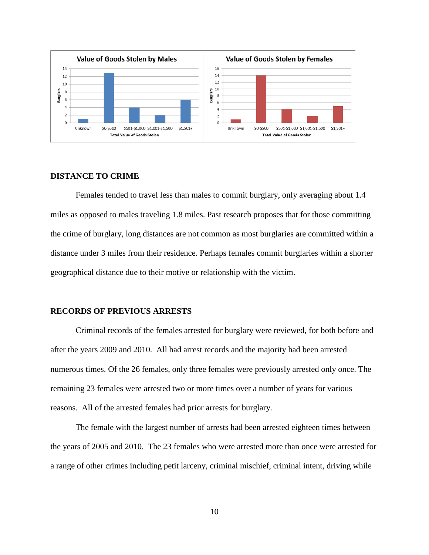

#### **DISTANCE TO CRIME**

Females tended to travel less than males to commit burglary, only averaging about 1.4 miles as opposed to males traveling 1.8 miles. Past research proposes that for those committing the crime of burglary, long distances are not common as most burglaries are committed within a distance under 3 miles from their residence. Perhaps females commit burglaries within a shorter geographical distance due to their motive or relationship with the victim.

### **RECORDS OF PREVIOUS ARRESTS**

Criminal records of the females arrested for burglary were reviewed, for both before and after the years 2009 and 2010. All had arrest records and the majority had been arrested numerous times. Of the 26 females, only three females were previously arrested only once. The remaining 23 females were arrested two or more times over a number of years for various reasons. All of the arrested females had prior arrests for burglary.

The female with the largest number of arrests had been arrested eighteen times between the years of 2005 and 2010. The 23 females who were arrested more than once were arrested for a range of other crimes including petit larceny, criminal mischief, criminal intent, driving while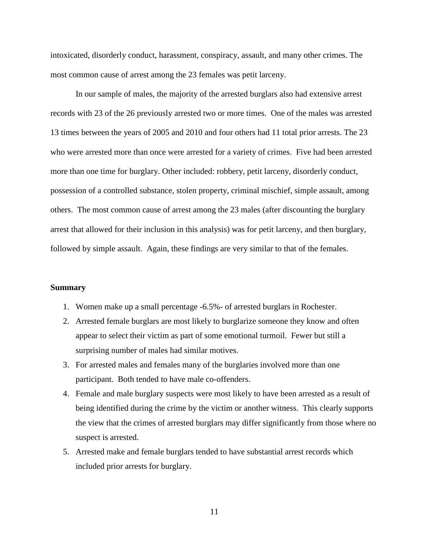intoxicated, disorderly conduct, harassment, conspiracy, assault, and many other crimes. The most common cause of arrest among the 23 females was petit larceny.

In our sample of males, the majority of the arrested burglars also had extensive arrest records with 23 of the 26 previously arrested two or more times. One of the males was arrested 13 times between the years of 2005 and 2010 and four others had 11 total prior arrests. The 23 who were arrested more than once were arrested for a variety of crimes. Five had been arrested more than one time for burglary. Other included: robbery, petit larceny, disorderly conduct, possession of a controlled substance, stolen property, criminal mischief, simple assault, among others. The most common cause of arrest among the 23 males (after discounting the burglary arrest that allowed for their inclusion in this analysis) was for petit larceny, and then burglary, followed by simple assault. Again, these findings are very similar to that of the females.

# **Summary**

- 1. Women make up a small percentage -6.5%- of arrested burglars in Rochester.
- 2. Arrested female burglars are most likely to burglarize someone they know and often appear to select their victim as part of some emotional turmoil. Fewer but still a surprising number of males had similar motives.
- 3. For arrested males and females many of the burglaries involved more than one participant. Both tended to have male co-offenders.
- 4. Female and male burglary suspects were most likely to have been arrested as a result of being identified during the crime by the victim or another witness. This clearly supports the view that the crimes of arrested burglars may differ significantly from those where no suspect is arrested.
- 5. Arrested make and female burglars tended to have substantial arrest records which included prior arrests for burglary.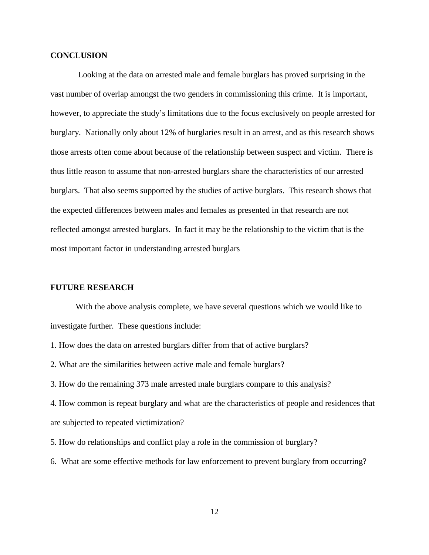# **CONCLUSION**

Looking at the data on arrested male and female burglars has proved surprising in the vast number of overlap amongst the two genders in commissioning this crime. It is important, however, to appreciate the study's limitations due to the focus exclusively on people arrested for burglary. Nationally only about 12% of burglaries result in an arrest, and as this research shows those arrests often come about because of the relationship between suspect and victim. There is thus little reason to assume that non-arrested burglars share the characteristics of our arrested burglars. That also seems supported by the studies of active burglars. This research shows that the expected differences between males and females as presented in that research are not reflected amongst arrested burglars. In fact it may be the relationship to the victim that is the most important factor in understanding arrested burglars

# **FUTURE RESEARCH**

With the above analysis complete, we have several questions which we would like to investigate further. These questions include:

1. How does the data on arrested burglars differ from that of active burglars?

2. What are the similarities between active male and female burglars?

3. How do the remaining 373 male arrested male burglars compare to this analysis?

4. How common is repeat burglary and what are the characteristics of people and residences that are subjected to repeated victimization?

5. How do relationships and conflict play a role in the commission of burglary?

6. What are some effective methods for law enforcement to prevent burglary from occurring?